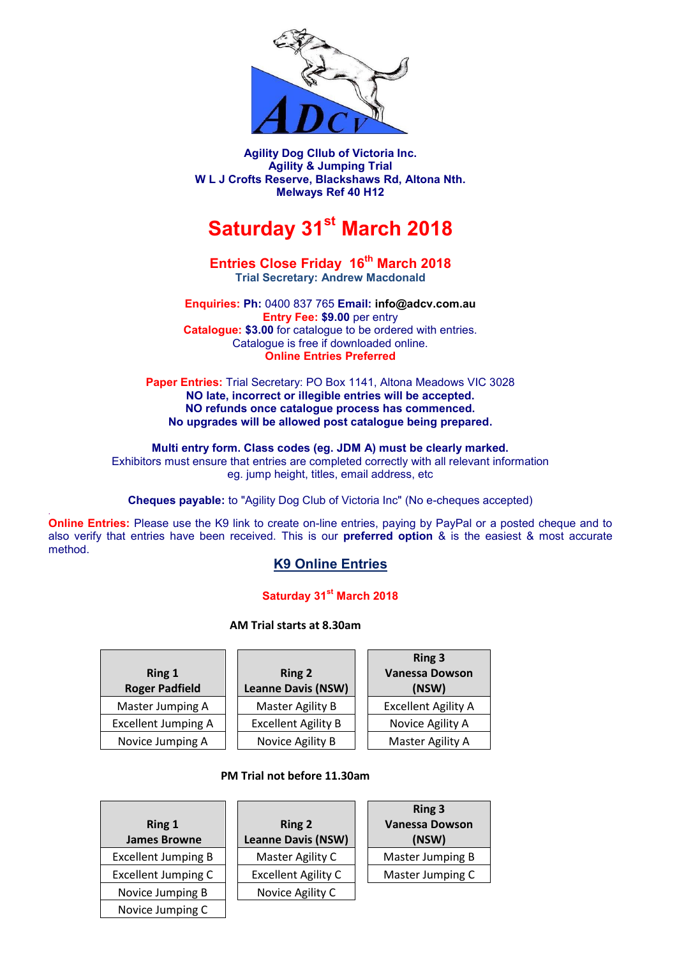

**Agility Dog Cllub of Victoria Inc. Agility & Jumping Trial W L J Crofts Reserve, Blackshaws Rd, Altona Nth. Melways Ref 40 H12**

# **Saturday 31st March 2018**

#### **Entries Close Friday 16th March 2018 Trial Secretary: Andrew Macdonald**

**Enquiries: Ph:** 0400 837 765 **Email: info@adcv.com.au Entry Fee: \$9.00** per entry **Catalogue: \$3.00** for catalogue to be ordered with entries. Catalogue is free if downloaded online. **Online Entries Preferred**

**Paper Entries:** Trial Secretary: PO Box 1141, Altona Meadows VIC 3028 **NO late, incorrect or illegible entries will be accepted. NO refunds once catalogue process has commenced. No upgrades will be allowed post catalogue being prepared.**

**Multi entry form. Class codes (eg. JDM A) must be clearly marked.** Exhibitors must ensure that entries are completed correctly with all relevant information eg. jump height, titles, email address, etc

**Cheques payable:** to "Agility Dog Club of Victoria Inc" (No e-cheques accepted)

*.* **Online Entries:** Please use the K9 link to create on-line entries, paying by PayPal or a posted cheque and to also verify that entries have been received. This is our **preferred option** & is the easiest & most accurate method.

## **[K9 Online Entries](https://www.k9entries.com/ankc/index.php)**

### **Saturday 31st March 2018**

**AM Trial starts at 8.30am**

| <b>Ring 1</b><br><b>Roger Padfield</b> | <b>Ring 2</b><br><b>Leanne Davis (NSW)</b> | <b>Ring 3</b><br><b>Vanessa Dowson</b><br>(NSW) |
|----------------------------------------|--------------------------------------------|-------------------------------------------------|
| Master Jumping A                       | <b>Master Agility B</b>                    | <b>Excellent Agility A</b>                      |
| <b>Excellent Jumping A</b>             | <b>Excellent Agility B</b>                 | Novice Agility A                                |
| Novice Jumping A                       | Novice Agility B                           | Master Agility A                                |

#### **PM Trial not before 11.30am**

| Ring 1<br><b>James Browne</b> | <b>Ring 2</b><br><b>Leanne Davis (NSW)</b> | <b>Ring 3</b><br><b>Vanessa Dowson</b><br>(NSW) |
|-------------------------------|--------------------------------------------|-------------------------------------------------|
| <b>Excellent Jumping B</b>    | Master Agility C                           | Master Jumping B                                |
| <b>Excellent Jumping C</b>    | <b>Excellent Agility C</b>                 | Master Jumping C                                |
| Novice Jumping B              | Novice Agility C                           |                                                 |
| Novice Jumping C              |                                            |                                                 |

| <b>Ring 2</b><br><b>Leanne Davis (NSW)</b> |
|--------------------------------------------|
| Master Agility C                           |
| <b>Excellent Agility C</b>                 |
| Novice Agility C                           |
|                                            |

| Ring 3                  |  |
|-------------------------|--|
| <b>Vanessa Dowson</b>   |  |
| (NSW)                   |  |
| <b>Master Jumping B</b> |  |
| Master Jumping C        |  |